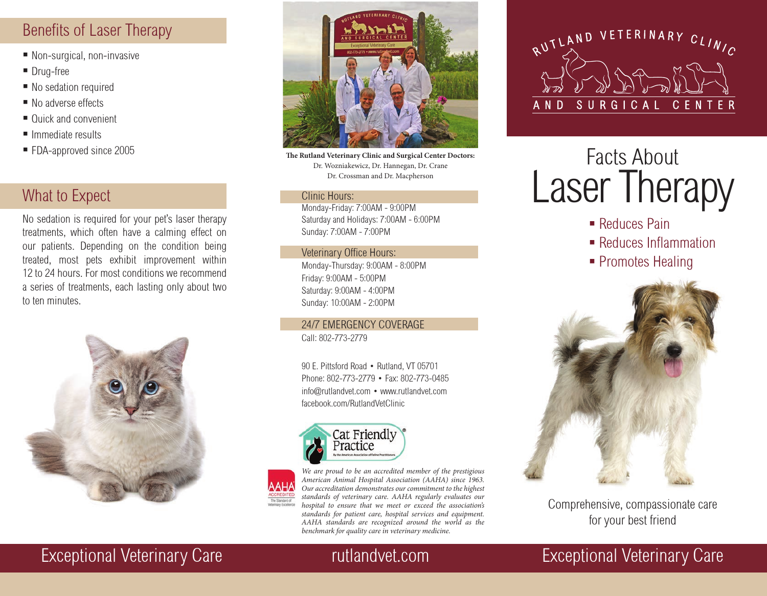# Benefits of Laser Therapy

- Non-surgical, non-invasive
- **Drug-free**
- No sedation required
- No adverse effects
- Quick and convenient
- $\blacksquare$  Immediate results
- FDA-approved since 2005

# What to Expect

No sedation is required for your pet's laser therapy treatments, which often have a calming effect on our patients. Depending on the condition being treated, most pets exhibit improvement within 12 to 24 hours. For most conditions we recommend a series of treatments, each lasting only about two to ten minutes.





**The Rutland Veterinary Clinic and Surgical Center Doctors:**  Dr. Wozniakewicz, Dr. Hannegan, Dr. Crane Dr. Crossman and Dr. Macpherson

### Clinic Hours:

Monday-Friday: 7:00AM - 9:00PM Saturday and Holidays: 7:00AM - 6:00PM Sunday: 7:00AM - 7:00PM

## Veterinary Office Hours:

Monday-Thursday: 9:00AM - 8:00PM Friday: 9:00AM - 5:00PM Saturday: 9:00AM - 4:00PM Sunday: 10:00AM - 2:00PM

24/7 EMERGENCY COVERAGE Call: 802-773-2779

90 E. Pittsford Road • Rutland, VT 05701 Phone: 802-773-2779 • Fax: 802-773-0485 info@rutlandvet.com • www.rutlandvet.com facebook.com/RutlandVetClinic





*We are proud to be an accredited member of the prestigious American Animal Hospital Association (AAHA) since 1963. Our accreditation demonstrates our commitment to the highest standards of veterinary care. AAHA regularly evaluates our hospital to ensure that we meet or exceed the association's standards for patient care, hospital services and equipment. AAHA standards are recognized around the world as the benchmark for quality care in veterinary medicine.*



# Facts About Laser Therapy

- Reduces Pain
- **Reduces Inflammation**
- Promotes Healing



Comprehensive, compassionate care for your best friend

# Exceptional Veterinary Care **Reserve Litter and Acceptional Veterinary Care Exceptional Veterinary Care**